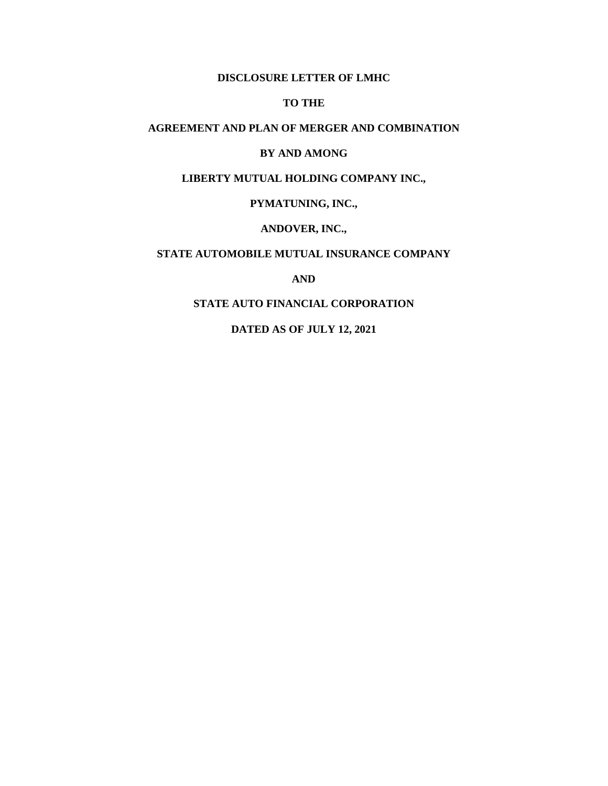#### **DISCLOSURE LETTER OF LMHC**

#### **TO THE**

## **AGREEMENT AND PLAN OF MERGER AND COMBINATION**

#### **BY AND AMONG**

## **LIBERTY MUTUAL HOLDING COMPANY INC.,**

### **PYMATUNING, INC.,**

#### **ANDOVER, INC.,**

## **STATE AUTOMOBILE MUTUAL INSURANCE COMPANY**

### **AND**

#### **STATE AUTO FINANCIAL CORPORATION**

### **DATED AS OF JULY 12, 2021**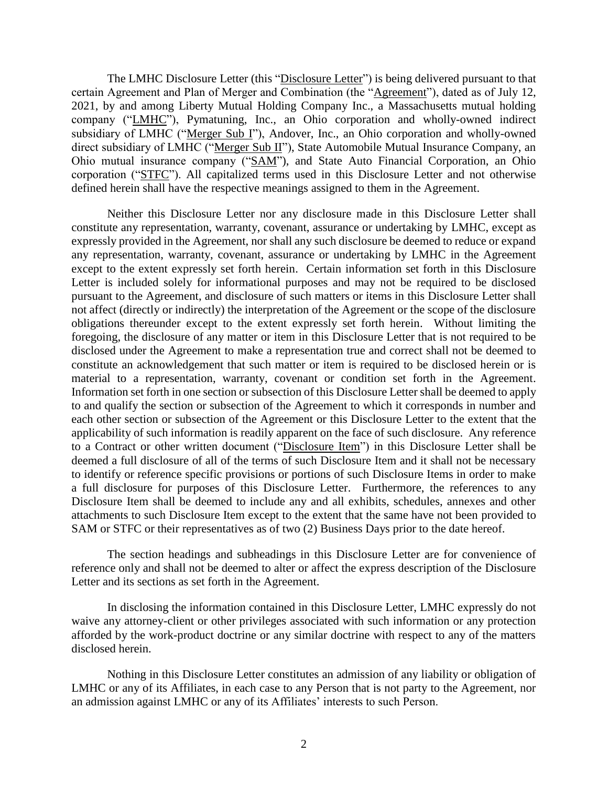The LMHC Disclosure Letter (this "Disclosure Letter") is being delivered pursuant to that certain Agreement and Plan of Merger and Combination (the "Agreement"), dated as of July 12, 2021, by and among Liberty Mutual Holding Company Inc., a Massachusetts mutual holding company ("LMHC"), Pymatuning, Inc., an Ohio corporation and wholly-owned indirect subsidiary of LMHC ("Merger Sub I"), Andover, Inc., an Ohio corporation and wholly-owned direct subsidiary of LMHC ("Merger Sub II"), State Automobile Mutual Insurance Company, an Ohio mutual insurance company ("SAM"), and State Auto Financial Corporation, an Ohio corporation ("STFC"). All capitalized terms used in this Disclosure Letter and not otherwise defined herein shall have the respective meanings assigned to them in the Agreement.

Neither this Disclosure Letter nor any disclosure made in this Disclosure Letter shall constitute any representation, warranty, covenant, assurance or undertaking by LMHC, except as expressly provided in the Agreement, nor shall any such disclosure be deemed to reduce or expand any representation, warranty, covenant, assurance or undertaking by LMHC in the Agreement except to the extent expressly set forth herein. Certain information set forth in this Disclosure Letter is included solely for informational purposes and may not be required to be disclosed pursuant to the Agreement, and disclosure of such matters or items in this Disclosure Letter shall not affect (directly or indirectly) the interpretation of the Agreement or the scope of the disclosure obligations thereunder except to the extent expressly set forth herein. Without limiting the foregoing, the disclosure of any matter or item in this Disclosure Letter that is not required to be disclosed under the Agreement to make a representation true and correct shall not be deemed to constitute an acknowledgement that such matter or item is required to be disclosed herein or is material to a representation, warranty, covenant or condition set forth in the Agreement. Information set forth in one section or subsection of this Disclosure Letter shall be deemed to apply to and qualify the section or subsection of the Agreement to which it corresponds in number and each other section or subsection of the Agreement or this Disclosure Letter to the extent that the applicability of such information is readily apparent on the face of such disclosure. Any reference to a Contract or other written document ("Disclosure Item") in this Disclosure Letter shall be deemed a full disclosure of all of the terms of such Disclosure Item and it shall not be necessary to identify or reference specific provisions or portions of such Disclosure Items in order to make a full disclosure for purposes of this Disclosure Letter. Furthermore, the references to any Disclosure Item shall be deemed to include any and all exhibits, schedules, annexes and other attachments to such Disclosure Item except to the extent that the same have not been provided to SAM or STFC or their representatives as of two (2) Business Days prior to the date hereof.

The section headings and subheadings in this Disclosure Letter are for convenience of reference only and shall not be deemed to alter or affect the express description of the Disclosure Letter and its sections as set forth in the Agreement.

In disclosing the information contained in this Disclosure Letter, LMHC expressly do not waive any attorney-client or other privileges associated with such information or any protection afforded by the work-product doctrine or any similar doctrine with respect to any of the matters disclosed herein.

Nothing in this Disclosure Letter constitutes an admission of any liability or obligation of LMHC or any of its Affiliates, in each case to any Person that is not party to the Agreement, nor an admission against LMHC or any of its Affiliates' interests to such Person.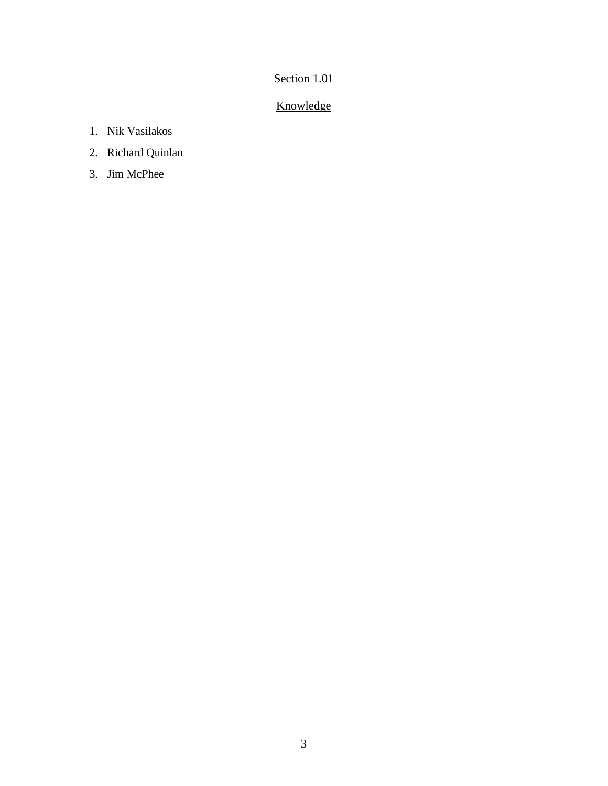# Section 1.01

# Knowledge

- 1. Nik Vasilakos
- 2. Richard Quinlan
- 3. Jim McPhee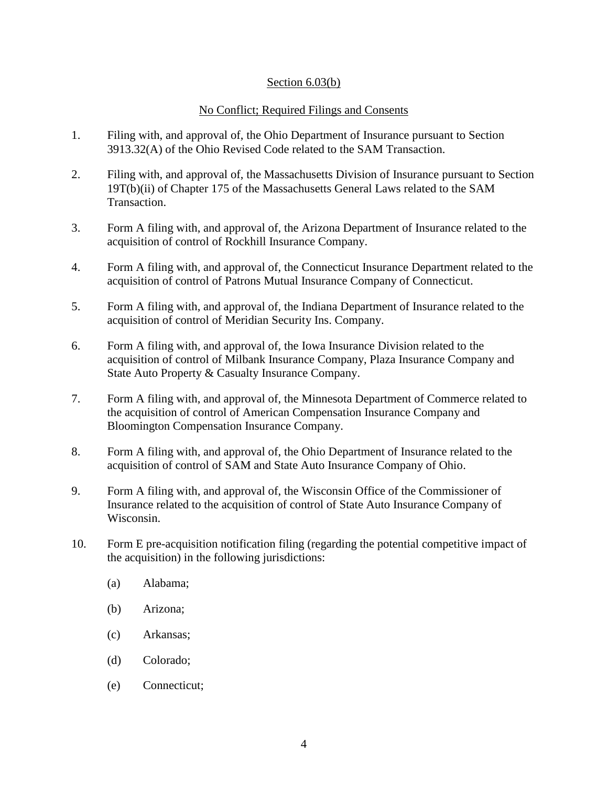## Section 6.03(b)

## No Conflict; Required Filings and Consents

- 1. Filing with, and approval of, the Ohio Department of Insurance pursuant to Section 3913.32(A) of the Ohio Revised Code related to the SAM Transaction.
- 2. Filing with, and approval of, the Massachusetts Division of Insurance pursuant to Section 19T(b)(ii) of Chapter 175 of the Massachusetts General Laws related to the SAM Transaction.
- 3. Form A filing with, and approval of, the Arizona Department of Insurance related to the acquisition of control of Rockhill Insurance Company.
- 4. Form A filing with, and approval of, the Connecticut Insurance Department related to the acquisition of control of Patrons Mutual Insurance Company of Connecticut.
- 5. Form A filing with, and approval of, the Indiana Department of Insurance related to the acquisition of control of Meridian Security Ins. Company.
- 6. Form A filing with, and approval of, the Iowa Insurance Division related to the acquisition of control of Milbank Insurance Company, Plaza Insurance Company and State Auto Property & Casualty Insurance Company.
- 7. Form A filing with, and approval of, the Minnesota Department of Commerce related to the acquisition of control of American Compensation Insurance Company and Bloomington Compensation Insurance Company.
- 8. Form A filing with, and approval of, the Ohio Department of Insurance related to the acquisition of control of SAM and State Auto Insurance Company of Ohio.
- 9. Form A filing with, and approval of, the Wisconsin Office of the Commissioner of Insurance related to the acquisition of control of State Auto Insurance Company of Wisconsin.
- 10. Form E pre-acquisition notification filing (regarding the potential competitive impact of the acquisition) in the following jurisdictions:
	- (a) Alabama;
	- (b) Arizona;
	- (c) Arkansas;
	- (d) Colorado;
	- (e) Connecticut;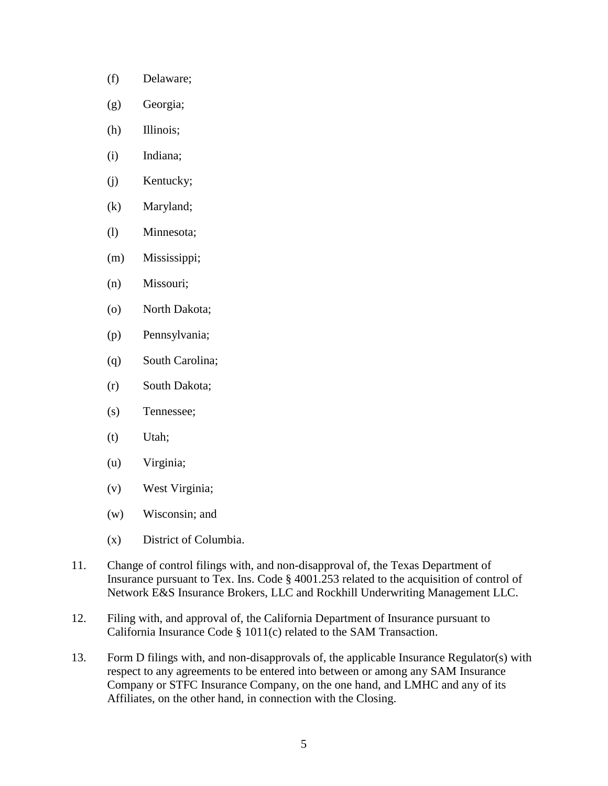- (f) Delaware;
- (g) Georgia;
- (h) Illinois;
- (i) Indiana;
- (j) Kentucky;
- (k) Maryland;
- (l) Minnesota;
- (m) Mississippi;
- (n) Missouri;
- (o) North Dakota;
- (p) Pennsylvania;
- (q) South Carolina;
- (r) South Dakota;
- (s) Tennessee;
- (t) Utah;
- (u) Virginia;
- (v) West Virginia;
- (w) Wisconsin; and
- (x) District of Columbia.
- 11. Change of control filings with, and non-disapproval of, the Texas Department of Insurance pursuant to Tex. Ins. Code § 4001.253 related to the acquisition of control of Network E&S Insurance Brokers, LLC and Rockhill Underwriting Management LLC.
- 12. Filing with, and approval of, the California Department of Insurance pursuant to California Insurance Code § 1011(c) related to the SAM Transaction.
- 13. Form D filings with, and non-disapprovals of, the applicable Insurance Regulator(s) with respect to any agreements to be entered into between or among any SAM Insurance Company or STFC Insurance Company, on the one hand, and LMHC and any of its Affiliates, on the other hand, in connection with the Closing.